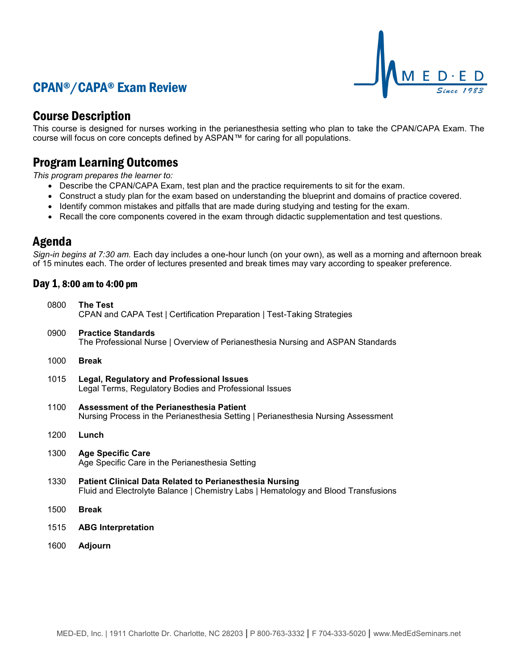# CPAN®/CAPA® Exam Review



## Course Description

This course is designed for nurses working in the perianesthesia setting who plan to take the CPAN/CAPA Exam. The course will focus on core concepts defined by ASPAN™ for caring for all populations.

## Program Learning Outcomes

*This program prepares the learner to:*

- Describe the CPAN/CAPA Exam, test plan and the practice requirements to sit for the exam.
- Construct a study plan for the exam based on understanding the blueprint and domains of practice covered.
- Identify common mistakes and pitfalls that are made during studying and testing for the exam.
- Recall the core components covered in the exam through didactic supplementation and test questions.

### Agenda

*Sign-in begins at 7:30 am.* Each day includes a one-hour lunch (on your own), as well as a morning and afternoon break of 15 minutes each. The order of lectures presented and break times may vary according to speaker preference.

#### Day 1, 8:00 am to 4:00 pm

| 0800 | <b>The Test</b><br>CPAN and CAPA Test   Certification Preparation   Test-Taking Strategies                                                           |
|------|------------------------------------------------------------------------------------------------------------------------------------------------------|
| 0900 | <b>Practice Standards</b><br>The Professional Nurse   Overview of Perianesthesia Nursing and ASPAN Standards                                         |
| 1000 | <b>Break</b>                                                                                                                                         |
| 1015 | <b>Legal, Regulatory and Professional Issues</b><br>Legal Terms, Regulatory Bodies and Professional Issues                                           |
| 1100 | Assessment of the Perianesthesia Patient<br>Nursing Process in the Perianesthesia Setting   Perianesthesia Nursing Assessment                        |
| 1200 | Lunch                                                                                                                                                |
| 1300 | <b>Age Specific Care</b><br>Age Specific Care in the Perianesthesia Setting                                                                          |
| 1330 | <b>Patient Clinical Data Related to Perianesthesia Nursing</b><br>Fluid and Electrolyte Balance   Chemistry Labs   Hematology and Blood Transfusions |
| 1500 | <b>Break</b>                                                                                                                                         |
| 1515 | <b>ABG Interpretation</b>                                                                                                                            |
| 1600 | Adjourn                                                                                                                                              |
|      |                                                                                                                                                      |